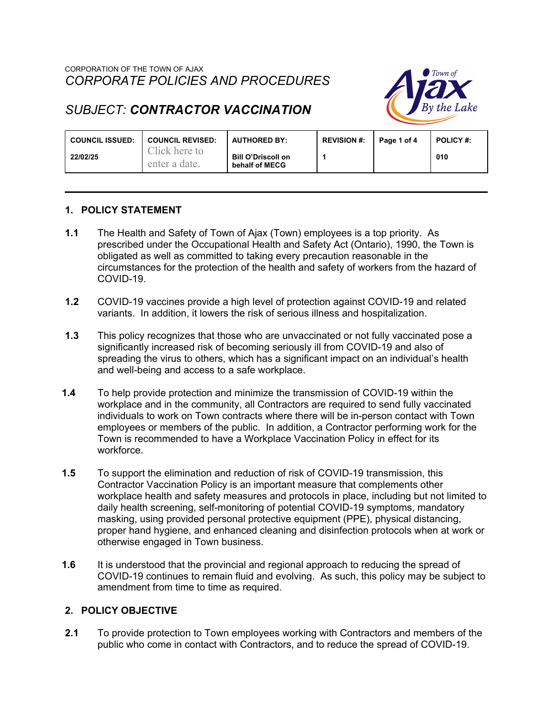## CORPORATION OF THE TOWN OF AJAX *CORPORATE POLICIES AND PROCEDURES*



# *SUBJECT: CONTRACTOR VACCINATION*

| <b>COUNCIL ISSUED:</b> | <b>COUNCIL REVISED:</b>        | <b>AUTHORED BY:</b>                         | <b>REVISION #:</b> | Page 1 of 4 | <b>POLICY #:</b> |
|------------------------|--------------------------------|---------------------------------------------|--------------------|-------------|------------------|
| 22/02/25               | Click here to<br>enter a date. | <b>Bill O'Driscoll on</b><br>behalf of MECG |                    |             | 010              |

### **1. POLICY STATEMENT**

- **1.1** The Health and Safety of Town of Ajax (Town) employees is a top priority. As prescribed under the Occupational Health and Safety Act (Ontario), 1990, the Town is obligated as well as committed to taking every precaution reasonable in the circumstances for the protection of the health and safety of workers from the hazard of COVID-19.
- **1.2** COVID-19 vaccines provide a high level of protection against COVID-19 and related variants. In addition, it lowers the risk of serious illness and hospitalization.
- **1.3** This policy recognizes that those who are unvaccinated or not fully vaccinated pose a significantly increased risk of becoming seriously ill from COVID-19 and also of spreading the virus to others, which has a significant impact on an individual's health and well-being and access to a safe workplace.
- **1.4** To help provide protection and minimize the transmission of COVID-19 within the workplace and in the community, all Contractors are required to send fully vaccinated individuals to work on Town contracts where there will be in-person contact with Town employees or members of the public. In addition, a Contractor performing work for the Town is recommended to have a Workplace Vaccination Policy in effect for its workforce.
- **1.5** To support the elimination and reduction of risk of COVID-19 transmission, this Contractor Vaccination Policy is an important measure that complements other workplace health and safety measures and protocols in place, including but not limited to daily health screening, self-monitoring of potential COVID-19 symptoms, mandatory masking, using provided personal protective equipment (PPE), physical distancing, proper hand hygiene, and enhanced cleaning and disinfection protocols when at work or otherwise engaged in Town business.
- **1.6** It is understood that the provincial and regional approach to reducing the spread of COVID-19 continues to remain fluid and evolving. As such, this policy may be subject to amendment from time to time as required.

#### **2. POLICY OBJECTIVE**

**2.1** To provide protection to Town employees working with Contractors and members of the public who come in contact with Contractors, and to reduce the spread of COVID-19.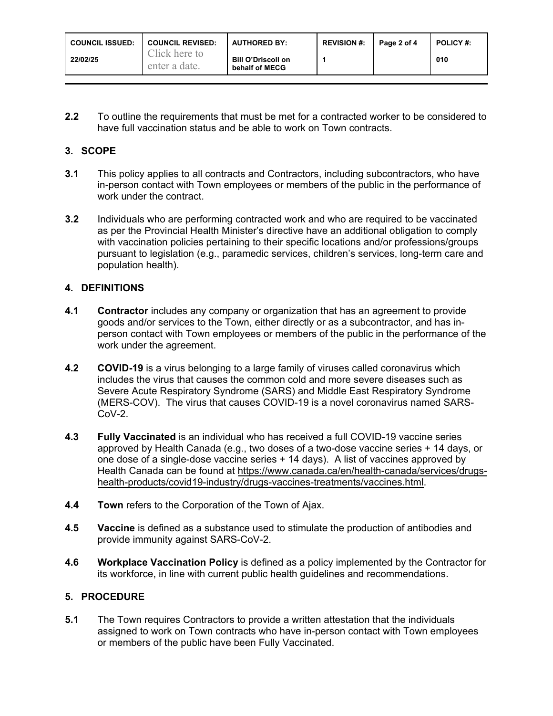| <b>COUNCIL ISSUED:</b> | <b>COUNCIL REVISED:</b>        | <b>AUTHORED BY:</b>                         | <b>REVISION #:</b> | Page 2 of 4 | <b>POLICY #:</b> |
|------------------------|--------------------------------|---------------------------------------------|--------------------|-------------|------------------|
| 22/02/25               | Click here to<br>enter a date. | <b>Bill O'Driscoll on</b><br>behalf of MECG |                    |             | 010              |

**2.2** To outline the requirements that must be met for a contracted worker to be considered to have full vaccination status and be able to work on Town contracts.

# **3. SCOPE**

- **3.1** This policy applies to all contracts and Contractors, including subcontractors, who have in-person contact with Town employees or members of the public in the performance of work under the contract.
- **3.2** Individuals who are performing contracted work and who are required to be vaccinated as per the Provincial Health Minister's directive have an additional obligation to comply with vaccination policies pertaining to their specific locations and/or professions/groups pursuant to legislation (e.g., paramedic services, children's services, long-term care and population health).

### **4. DEFINITIONS**

- **4.1 Contractor** includes any company or organization that has an agreement to provide goods and/or services to the Town, either directly or as a subcontractor, and has inperson contact with Town employees or members of the public in the performance of the work under the agreement.
- **4.2 COVID-19** is a virus belonging to a large family of viruses called coronavirus which includes the virus that causes the common cold and more severe diseases such as Severe Acute Respiratory Syndrome (SARS) and Middle East Respiratory Syndrome (MERS-COV). The virus that causes COVID-19 is a novel coronavirus named SARS-CoV-2.
- **4.3 Fully Vaccinated** is an individual who has received a full COVID-19 vaccine series approved by Health Canada (e.g., two doses of a two-dose vaccine series + 14 days, or one dose of a single-dose vaccine series + 14 days). A list of vaccines approved by Health Canada can be found at https://www.canada.ca/en/health-canada/services/drugshealth-products/covid19-industry/drugs-vaccines-treatments/vaccines.html.
- **4.4 Town** refers to the Corporation of the Town of Ajax.
- **4.5 Vaccine** is defined as a substance used to stimulate the production of antibodies and provide immunity against SARS-CoV-2.
- **4.6 Workplace Vaccination Policy** is defined as a policy implemented by the Contractor for its workforce, in line with current public health guidelines and recommendations.

# **5. PROCEDURE**

**5.1** The Town requires Contractors to provide a written attestation that the individuals assigned to work on Town contracts who have in-person contact with Town employees or members of the public have been Fully Vaccinated.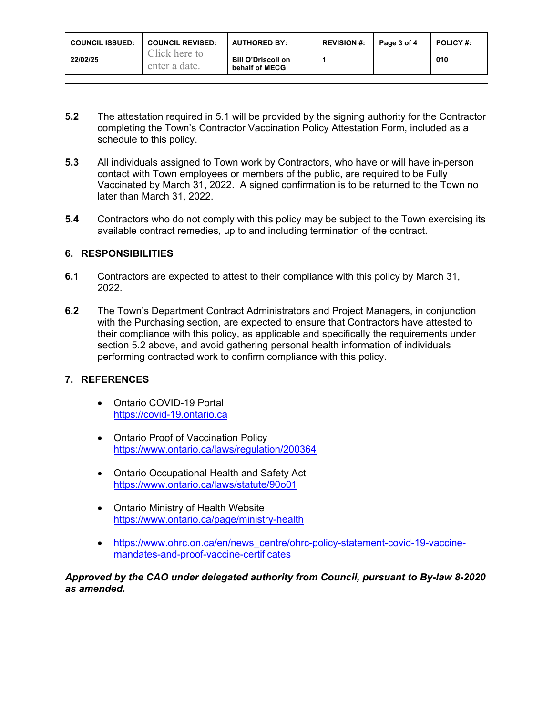| <b>COUNCIL ISSUED:</b> | <b>COUNCIL REVISED:</b>        | <b>AUTHORED BY:</b>                         | <b>REVISION #:</b> | Page 3 of 4 | <b>POLICY #:</b> |
|------------------------|--------------------------------|---------------------------------------------|--------------------|-------------|------------------|
| 22/02/25               | Click here to<br>enter a date. | <b>Bill O'Driscoll on</b><br>behalf of MECG |                    |             | 010              |

- **5.2** The attestation required in 5.1 will be provided by the signing authority for the Contractor completing the Town's Contractor Vaccination Policy Attestation Form, included as a schedule to this policy.
- **5.3** All individuals assigned to Town work by Contractors, who have or will have in-person contact with Town employees or members of the public, are required to be Fully Vaccinated by March 31, 2022. A signed confirmation is to be returned to the Town no later than March 31, 2022.
- **5.4** Contractors who do not comply with this policy may be subject to the Town exercising its available contract remedies, up to and including termination of the contract.

### **6. RESPONSIBILITIES**

- **6.1** Contractors are expected to attest to their compliance with this policy by March 31, 2022.
- **6.2** The Town's Department Contract Administrators and Project Managers, in conjunction with the Purchasing section, are expected to ensure that Contractors have attested to their compliance with this policy, as applicable and specifically the requirements under section 5.2 above, and avoid gathering personal health information of individuals performing contracted work to confirm compliance with this policy.

# **7. REFERENCES**

- Ontario COVID-19 Portal https://covid-19.ontario.ca
- Ontario Proof of Vaccination Policy https://www.ontario.ca/laws/regulation/200364
- Ontario Occupational Health and Safety Act https://www.ontario.ca/laws/statute/90o01
- Ontario Ministry of Health Website https://www.ontario.ca/page/ministry-health
- https://www.ohrc.on.ca/en/news\_centre/ohrc-policy-statement-covid-19-vaccinemandates-and-proof-vaccine-certificates

*Approved by the CAO under delegated authority from Council, pursuant to By-law 8-2020 as amended.*